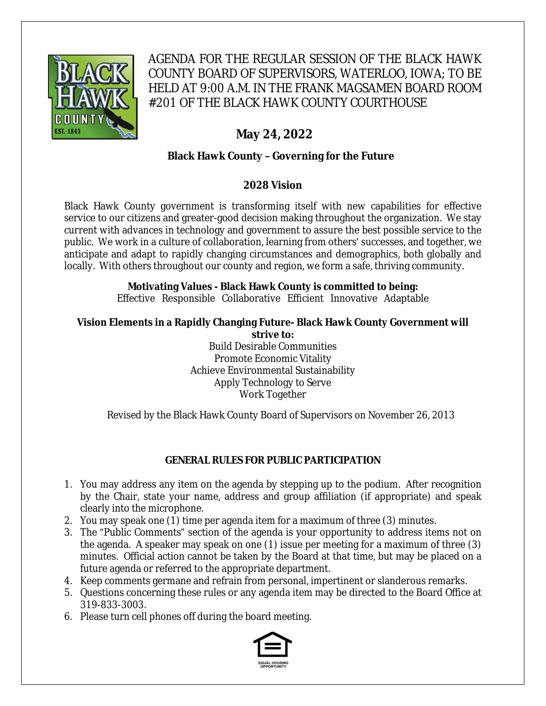

AGENDA FOR THE REGULAR SESSION OF THE BLACK HAWK COUNTY BOARD OF SUPERVISORS, WATERLOO, IOWA; TO BE HELD AT 9:00 A.M. IN THE FRANK MAGSAMEN BOARD ROOM #201 OF THE BLACK HAWK COUNTY COURTHOUSE

# **May 24, 2022**

# **Black Hawk County – Governing for the Future**

## **2028 Vision**

Black Hawk County government is transforming itself with new capabilities for effective service to our citizens and greater-good decision making throughout the organization. We stay current with advances in technology and government to assure the best possible service to the public. We work in a culture of collaboration, learning from others' successes, and together, we anticipate and adapt to rapidly changing circumstances and demographics, both globally and locally. With others throughout our county and region, we form a safe, thriving community.

# **Motivating Values - Black Hawk County is committed to being:**

Effective Responsible Collaborative Efficient Innovative Adaptable

#### **Vision Elements in a Rapidly Changing Future- Black Hawk County Government will strive to:**

Build Desirable Communities Promote Economic Vitality Achieve Environmental Sustainability Apply Technology to Serve Work Together

Revised by the Black Hawk County Board of Supervisors on November 26, 2013

## **GENERAL RULES FOR PUBLIC PARTICIPATION**

- 1. You may address any item on the agenda by stepping up to the podium. After recognition by the Chair, state your name, address and group affiliation (if appropriate) and speak clearly into the microphone.
- 2. You may speak one (1) time per agenda item for a maximum of three (3) minutes.
- 3. The "Public Comments" section of the agenda is your opportunity to address items not on the agenda. A speaker may speak on one (1) issue per meeting for a maximum of three (3) minutes. Official action cannot be taken by the Board at that time, but may be placed on a future agenda or referred to the appropriate department.
- 4. Keep comments germane and refrain from personal, impertinent or slanderous remarks.
- 5. Questions concerning these rules or any agenda item may be directed to the Board Office at 319-833-3003.
- 6. Please turn cell phones off during the board meeting.

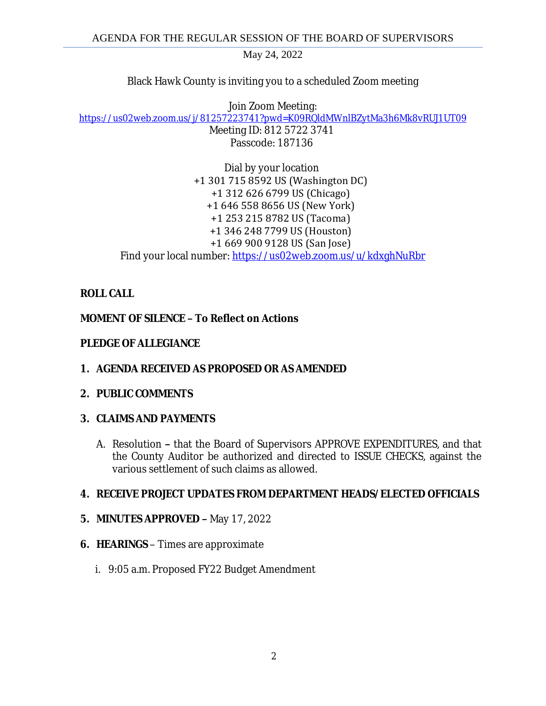May 24, 2022

Black Hawk County is inviting you to a scheduled Zoom meeting

Join Zoom Meeting: [https://us02web.zoom.us/j/81257223741?pwd=K09RQldMWnlBZytMa3h6Mk8vRUJ1UT09](https://gcc02.safelinks.protection.outlook.com/?url=https%3A%2F%2Fus02web.zoom.us%2Fj%2F81257223741%3Fpwd%3DK09RQldMWnlBZytMa3h6Mk8vRUJ1UT09&data=05%7C01%7Ckzwanziger%40blackhawkcounty.iowa.gov%7C70ec401fa2ec4dd479bd08da38cb2fb8%7C9960f5b6faae4bb3a122c43aceeaa06d%7C0%7C0%7C637884742584865100%7CUnknown%7CTWFpbGZsb3d8eyJWIjoiMC4wLjAwMDAiLCJQIjoiV2luMzIiLCJBTiI6Ik1haWwiLCJXVCI6Mn0%3D%7C3000%7C%7C%7C&sdata=zO7n0paJotgObuKTGkADHFL5O9POSa1d27ipLuQ92Zg%3D&reserved=0)

Meeting ID: 812 5722 3741 Passcode: 187136

Dial by your location +1 301 715 8592 US (Washington DC) +1 312 626 6799 US (Chicago) +1 646 558 8656 US (New York) +1 253 215 8782 US (Tacoma) +1 346 248 7799 US (Houston) +1 669 900 9128 US (San Jose) Find your local number: [https://us02web.zoom.us/u/kdxghNuRbr](https://gcc02.safelinks.protection.outlook.com/?url=https%3A%2F%2Fus02web.zoom.us%2Fu%2FkdxghNuRbr&data=05%7C01%7Ckzwanziger%40blackhawkcounty.iowa.gov%7C70ec401fa2ec4dd479bd08da38cb2fb8%7C9960f5b6faae4bb3a122c43aceeaa06d%7C0%7C0%7C637884742584865100%7CUnknown%7CTWFpbGZsb3d8eyJWIjoiMC4wLjAwMDAiLCJQIjoiV2luMzIiLCJBTiI6Ik1haWwiLCJXVCI6Mn0%3D%7C3000%7C%7C%7C&sdata=7wXYYhUox87p%2BAwcltzH8m5rhCF2yhz9L88%2B735yiqQ%3D&reserved=0)

# **ROLL CALL**

# **MOMENT OF SILENCE – To Reflect on Actions**

## **PLEDGE OF ALLEGIANCE**

**1. AGENDA RECEIVED AS PROPOSED OR AS AMENDED**

## **2. PUBLIC COMMENTS**

## **3. CLAIMS AND PAYMENTS**

A. Resolution **–** that the Board of Supervisors APPROVE EXPENDITURES, and that the County Auditor be authorized and directed to ISSUE CHECKS, against the various settlement of such claims as allowed.

## **4. RECEIVE PROJECT UPDATES FROM DEPARTMENT HEADS/ELECTED OFFICIALS**

- **5. MINUTES APPROVED –** May 17, 2022
- **6. HEARINGS**  Times are approximate
	- i. 9:05 a.m. Proposed FY22 Budget Amendment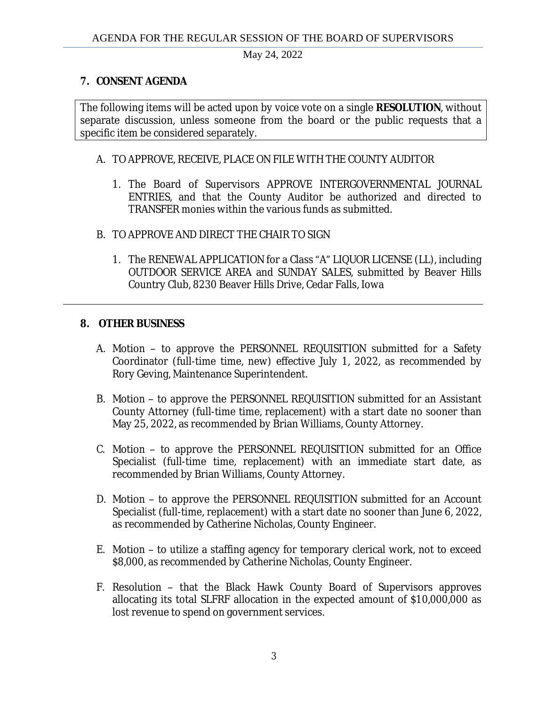May 24, 2022

#### **7. CONSENT AGENDA**

The following items will be acted upon by voice vote on a single **RESOLUTION**, without separate discussion, unless someone from the board or the public requests that a specific item be considered separately.

#### A. TO APPROVE, RECEIVE, PLACE ON FILE WITH THE COUNTY AUDITOR

- 1. The Board of Supervisors APPROVE INTERGOVERNMENTAL JOURNAL ENTRIES, and that the County Auditor be authorized and directed to TRANSFER monies within the various funds as submitted.
- B. TO APPROVE AND DIRECT THE CHAIR TO SIGN
	- 1. The RENEWAL APPLICATION for a Class "A" LIQUOR LICENSE (LL), including OUTDOOR SERVICE AREA and SUNDAY SALES, submitted by Beaver Hills Country Club, 8230 Beaver Hills Drive, Cedar Falls, Iowa

#### **8. OTHER BUSINESS**

- A. Motion to approve the PERSONNEL REQUISITION submitted for a Safety Coordinator (full-time time, new) effective July 1, 2022, as recommended by Rory Geving, Maintenance Superintendent.
- B. Motion to approve the PERSONNEL REQUISITION submitted for an Assistant County Attorney (full-time time, replacement) with a start date no sooner than May 25, 2022, as recommended by Brian Williams, County Attorney.
- C. Motion to approve the PERSONNEL REQUISITION submitted for an Office Specialist (full-time time, replacement) with an immediate start date, as recommended by Brian Williams, County Attorney.
- D. Motion to approve the PERSONNEL REQUISITION submitted for an Account Specialist (full-time, replacement) with a start date no sooner than June 6, 2022, as recommended by Catherine Nicholas, County Engineer.
- E. Motion to utilize a staffing agency for temporary clerical work, not to exceed \$8,000, as recommended by Catherine Nicholas, County Engineer.
- F. Resolution that the Black Hawk County Board of Supervisors approves allocating its total SLFRF allocation in the expected amount of \$10,000,000 as lost revenue to spend on government services.